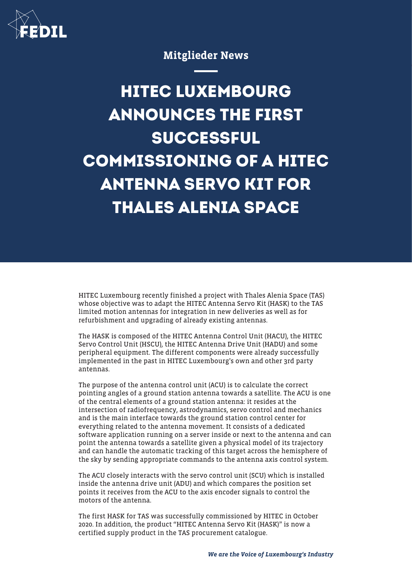

## Mitglieder News

## **HITEC LUXEMBOURG ANNOUNCES THE FIRST SUCCESSFUL COMMISSIONING OF A HITEC ANTENNA SERVO KIT FOR THALES ALENIA SPACE**

HITEC Luxembourg recently finished a project with Thales Alenia Space (TAS) whose objective was to adapt the HITEC Antenna Servo Kit (HASK) to the TAS limited motion antennas for integration in new deliveries as well as for refurbishment and upgrading of already existing antennas.

The HASK is composed of the HITEC Antenna Control Unit (HACU), the HITEC Servo Control Unit (HSCU), the HITEC Antenna Drive Unit (HADU) and some peripheral equipment. The different components were already successfully implemented in the past in HITEC Luxembourg's own and other 3rd party antennas.

The purpose of the antenna control unit (ACU) is to calculate the correct pointing angles of a ground station antenna towards a satellite. The ACU is one of the central elements of a ground station antenna: it resides at the intersection of radiofrequency, astrodynamics, servo control and mechanics and is the main interface towards the ground station control center for everything related to the antenna movement. It consists of a dedicated software application running on a server inside or next to the antenna and can point the antenna towards a satellite given a physical model of its trajectory and can handle the automatic tracking of this target across the hemisphere of the sky by sending appropriate commands to the antenna axis control system.

The ACU closely interacts with the servo control unit (SCU) which is installed inside the antenna drive unit (ADU) and which compares the position set points it receives from the ACU to the axis encoder signals to control the motors of the antenna.

The first HASK for TAS was successfully commissioned by HITEC in October 2020. In addition, the product "HITEC Antenna Servo Kit (HASK)" is now a certified supply product in the TAS procurement catalogue.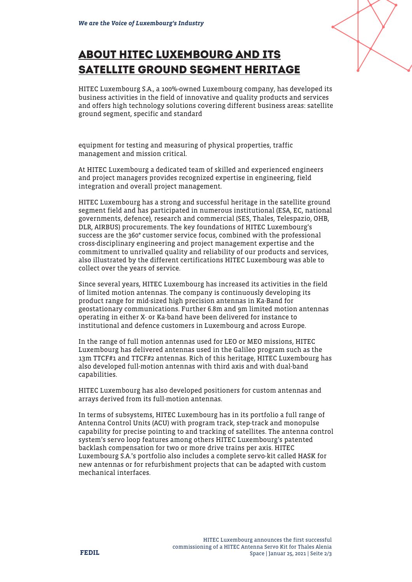## **ABOUT HITEC LUXEMBOURG AND ITS SATELLITE GROUND SEGMENT HERITAGE**



HITEC Luxembourg S.A., a 100%-owned Luxembourg company, has developed its business activities in the field of innovative and quality products and services and offers high technology solutions covering different business areas: satellite ground segment, specific and standard

equipment for testing and measuring of physical properties, traffic management and mission critical.

At HITEC Luxembourg a dedicated team of skilled and experienced engineers and project managers provides recognized expertise in engineering, field integration and overall project management.

HITEC Luxembourg has a strong and successful heritage in the satellite ground segment field and has participated in numerous institutional (ESA, EC, national governments, defence), research and commercial (SES, Thales, Telespazio, OHB, DLR, AIRBUS) procurements. The key foundations of HITEC Luxembourg's success are the 360° customer service focus, combined with the professional cross-disciplinary engineering and project management expertise and the commitment to unrivalled quality and reliability of our products and services, also illustrated by the different certifications HITEC Luxembourg was able to collect over the years of service.

Since several years, HITEC Luxembourg has increased its activities in the field of limited motion antennas. The company is continuously developing its product range for mid-sized high precision antennas in Ka-Band for geostationary communications. Further 6.8m and 9m limited motion antennas operating in either X- or Ka-band have been delivered for instance to institutional and defence customers in Luxembourg and across Europe.

In the range of full motion antennas used for LEO or MEO missions, HITEC Luxembourg has delivered antennas used in the Galileo program such as the 13m TTCF#1 and TTCF#2 antennas. Rich of this heritage, HITEC Luxembourg has also developed full-motion antennas with third axis and with dual-band capabilities.

HITEC Luxembourg has also developed positioners for custom antennas and arrays derived from its full-motion antennas.

In terms of subsystems, HITEC Luxembourg has in its portfolio a full range of Antenna Control Units (ACU) with program track, step-track and monopulse capability for precise pointing to and tracking of satellites. The antenna control system's servo loop features among others HITEC Luxembourg's patented backlash compensation for two or more drive trains per axis. HITEC Luxembourg S.A.'s portfolio also includes a complete servo-kit called HASK for new antennas or for refurbishment projects that can be adapted with custom mechanical interfaces.